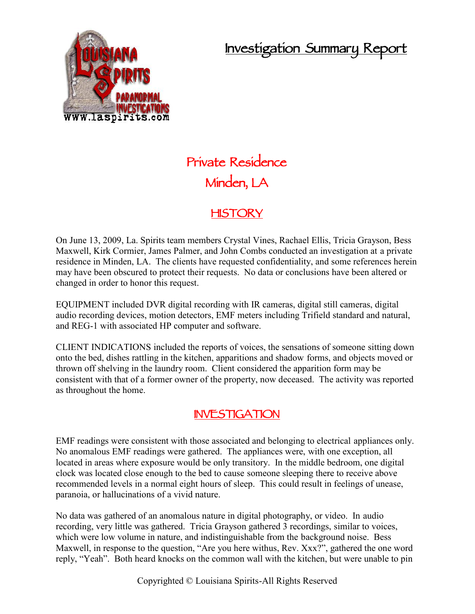## **Investigation Summary Report**



# **Private Residence Minden, LA**

#### **HISTORY**

On June 13, 2009, La. Spirits team members Crystal Vines, Rachael Ellis, Tricia Grayson, Bess Maxwell, Kirk Cormier, James Palmer, and John Combs conducted an investigation at a private residence in Minden, LA. The clients have requested confidentiality, and some references herein may have been obscured to protect their requests. No data or conclusions have been altered or changed in order to honor this request.

EQUIPMENT included DVR digital recording with IR cameras, digital still cameras, digital audio recording devices, motion detectors, EMF meters including Trifield standard and natural, and REG-1 with associated HP computer and software.

CLIENT INDICATIONS included the reports of voices, the sensations of someone sitting down onto the bed, dishes rattling in the kitchen, apparitions and shadow forms, and objects moved or thrown off shelving in the laundry room. Client considered the apparition form may be consistent with that of a former owner of the property, now deceased. The activity was reported as throughout the home.

#### **INVESTIGATION**

EMF readings were consistent with those associated and belonging to electrical appliances only. No anomalous EMF readings were gathered. The appliances were, with one exception, all located in areas where exposure would be only transitory. In the middle bedroom, one digital clock was located close enough to the bed to cause someone sleeping there to receive above recommended levels in a normal eight hours of sleep. This could result in feelings of unease, paranoia, or hallucinations of a vivid nature.

No data was gathered of an anomalous nature in digital photography, or video. In audio recording, very little was gathered. Tricia Grayson gathered 3 recordings, similar to voices, which were low volume in nature, and indistinguishable from the background noise. Bess Maxwell, in response to the question, "Are you here withus, Rev. Xxx?", gathered the one word reply, "Yeah". Both heard knocks on the common wall with the kitchen, but were unable to pin